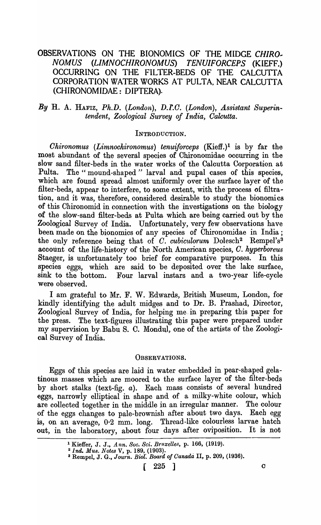# OBSERVATIONS ON THE BIONOMICS OF THE MIDGE *CHIRO .. NOMUS (LIMNOCHIRONOMUS) TENUIFORCEPS* (KIEFF.) OCCURRING ON THE FILTER~BEDS OF THE CALCUTTA CORPORATION WATER WORKS AT PULTA, NEAR CALCUTTA (CHIRONOMIDAE: DIPTERA).

## By H. A. HAFIZ, *Ph.D. (London), D.I.C. (London), Assistant Superintendent, Zoological Survey of India, Oalcutta.*

### INTRODUCTION.

*Ohironomus (Limnochironomus) tenuiforceps (Kieff.)<sup>1</sup> is by far the* most abundant of the several species of Chironomidae occurring in the slow sand filter-beds in the water works of the Calcutta Corporation at Pulta. The "mound-shaped" larval and pupal cases of this species. The "mound-shaped" larval and pupal cases of this species, which are found spread almost uniformly over the surface layer of the filter-beds, appear to interfere, to some extent, with the process of filtration, and it was, therefore, considered desirable to study the bionomics of this Chironomid in connection with the investigations on the biology of the slow-sand filter-beds at Pulta which are being carried out by the Zoologioal Survey of India. Unfortunately, very few observations have been made on the bionomics of any species of Chironomidae in India; the only reference being that of *C. cubiculorum* Dolesch<sup>2</sup> Rempel's<sup>3</sup> account of the life-history of the North American species, O. *hyperboreus*  Staeger, is unfortunately too brief for comparative purposes. In this species eggs, which are said to be deposited over the lake surface, sink to the bottom. Four larval instars and a two-year life-cycle were observed.

I am grateful to Mr. F. W. Edwards, British Museum, London, for kindly identifying the adult midges and to Dr. B. Prashad, Director, Zoological Survey of India, for helping me. in preparing this paper for the press. The text-figures illustrating this paper were prepared under my supervision by Babu S. C. Mondul, one of the artists of the Zoological Survey of India.

#### OBSERVATIONS.

Eggs of this species are laid in water embedded in pear-shaped gelatinous masses which are moored to the surface layer of the filter-beds by short stalks (text-fig.  $a$ ). Each mass consists of several hundred eggs, narrowly elliptical in shape and of a milky-white colour, which<br>are collected together in the middle in an irregular manner. The colour are collected together in the middle in an irregular manner. of the eggs changes to pale-brownish after about two days. Each egg is, on an average, 0.2 mm. long. Thread-like colourless larvae hatch out, in the laboratory, about four days after oviposition. It is not

<sup>1</sup> Kieffer, J. J., *Ann. Soc. Sci. Bruxelles,* p. 166, (1919).

*<sup>21</sup>nil. MU8. Notes* V, p. 189, (1903). . 3 Rempel, J. G., *Jount. Biof. Board of Oanada* II, p. 209, (1936).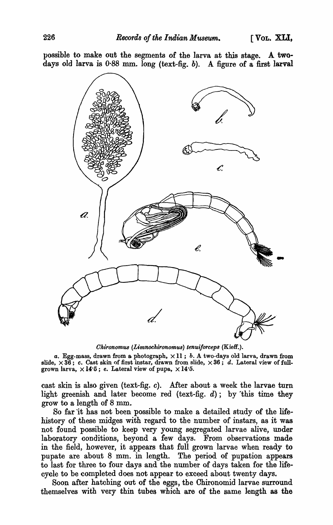possible to make out the segments of the larva at this stage. A twodays old larva is  $0.88$  mm. long (text-fig. b). A figure of a first larval



*Okironomua (Limnockironomua) tenui/orcepa* (Kieff.).

a. Egg-mass, drawn from a photograph,  $\times$  11; b. A two-days old larva, drawn from slide,  $\times 36$ ; c. Cast skin of first instar, drawn from slide,  $\times 36$ ; d. Lateral view of fullgrown larva,  $\times$  14°5; e. Lateral view of pupa,  $\times$  14°5.

cast skin is also given (text-fig. c). After about a week the larvae turn light greenish and later become red (text-fig.  $d$ ); by this time they grow to a length of 8 mm.

So far 'it has not been possible to make a detailed study of the lifehistory of these midges with regard to the number of instars, as it was not found possible to keep very young segregated larvae alive, under laboratory conditions, beyond a few days. From observations made in the field, however, it appears that full grown larvae when ready to pupate are about 8 mm. in length. The period of pupation appears to last for three to four days and the number of days taken for the lifecycle to be completed does not appear to exceed about twenty days.

Soon after hatching out of the eggs, the Chironomid larvae surround themselves with very thin tubes wbich are of the same length as the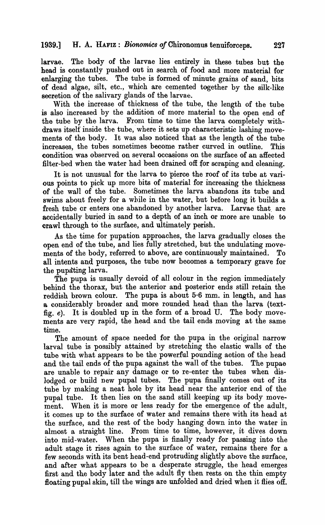larvae. The body of the larvae lies entirely in these tubes but the head is constantly pushed out in search of food and more material for' enlarging the tubes. The tube is formed of minute grains of sand, bits of dead algae, silt, etc., which are cemented together by the silk-like secretion of the salivary glands of the larvae.

With the increase of thickness of the tube, the length of the tube is also increased by the addition of more material to the open end of the tube by the larva. From time to time the larva completely withdraws itself inside the tube, where it sets up characteristic lashing movements of the body. It was also noticed that as the length of the tube increases, the tubes sometimes become rather curved in outline. This condition was observed on several occasions on the surface of an affected filter-bed when the water had been drained off for scraping and cleaning.

It is not unusual for the larva to pierce the roof of its tube at various points to pick up more bits of material for increasing the thickness of the waH of the tube. Sometimes the larva abandons its tube and swims about freely for a while in the water, but before long it builds a fresh tube or enters one abandoned by another larva. Larvae that are accidentally buried in sand to a depth of an inch or more are unable to crawl through to the surface, and ultimately perish.

As the time for pupation approaches, the larva gradually closes the open end of the tube, and lies fully stretched, but the undulating movements of the body, referred to above, are continuously maintained. To all intents and purposes, the tube now beoomes a temporary grave for the pupating larva.

The pupa is usually devoid of all colour in the region immediately behind the thorax, but the anterior and posterior ends still retain the reddish brown colour. The pupa is about 5.6 mm. in length, and has a considerably broader and more rounded head than the larva (textfig. *e).* It is doubled up in the form of a broad U. The body movements are very rapid, the head and the tail ends moving at the same time.

The amount of space needed for the pupa in the original narrow larval tube is possibly attained by stretching the elastic walls of the tube with what appears to be the powerful pounding aotion of the head and the tail ends of the pupa against the wall of the tubes. The pupae are unable to repair any damage or to re-enter the tubes when dislodged or build new pupal tubes. The pupa finally comes out of its tube by making a neat hole by its head near the anterior end of the pupal tube. It then lies on the sand still keeping up its body movement. When it is more or less ready for the emergence of the adult, it comes up to the surface of water and remains there with its head at the surface, and the rest of the body hanging down into the water in almost a straight line. From time to time, however, it dives down into mid-water. When the pupa is finally ready for passing into the adult stage it rises again to the surface of water, remains there for a few seconds with its bent head -end protruding slightly above the surface, and after what appears to be a desperate struggle, the head emerges first and the body later and the adult fly then rests on the thin empty floating pupal skin, till the wings are unfolded and dried when it flies off.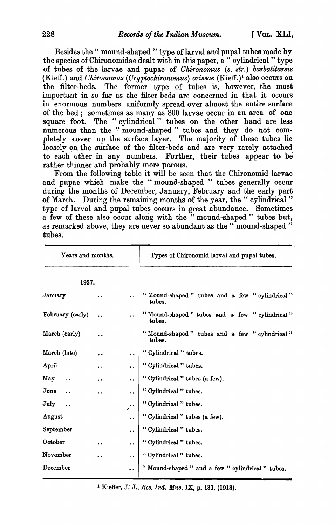Besides the "mound-shaped" type of larval and pupal tubes made by the species of Chironomidae dealt with in this paper, a "cylindrical" type of tubes of the larvae and pupae of *Chironomus (s. str.) barbatitarsis* (Kieff.) and *Chironomus (Cryptochironomus) orissae* (Kieff.)<sup>1</sup> also occurs on the filter-beds. The former type of tubes is, however, the most important in so far as the filter-beds are concerned in that it occurs in enormous numbers uniformly spread over almost the entire surface of the bed; sometimes as many as 800 larvae occur in an area of one square foot. The "cylindrical" tubes on the other hand are less numerous than the "mound-shaped" tubes and they do not completely cover up the surface layer. The majority of these tubes lie loosely on the surface of the filter-beds and are very rarely attached to each other in any numbers. Further, their tubes appear to be rather thinner and probably more porous.

From the following table it will be seen that the Chironomid larvae and pupae which make the "mound-shaped " tubes generally occur during the months of December, January, February and the early part of March. During the remaining months of the year, the "cylindrical" type of larval and pupal tubes occurs in great abundance. Sometimes a few of these also occur along with the "mound-shaped" tubes but, as remarked above, they are never so abundant as the "mound-shaped" tubes.

| Years and months. |                                          | Types of Chironomid larval and pupal tubes.            |
|-------------------|------------------------------------------|--------------------------------------------------------|
| 1937.             |                                          |                                                        |
| January           | $\ddot{\phantom{a}}$<br>. .              | "Mound-shaped" tubes and a few "cylindrical"<br>tubes. |
| February (early)  | $\ddot{\phantom{0}}$                     | "Mound-shaped" tubes and a few "cylindrical"<br>tubes. |
| March (early)     | . .                                      | "Mound-shaped" tubes and a few "cylindrical"<br>tubes. |
| March (late)      | $\bullet$<br>$\ddot{\phantom{0}}$        | "Cylindrical " tubes.                                  |
| April             | $\ddot{\phantom{a}}$<br>$\bullet$        | "Cylindrical " tubes.                                  |
| May               | $\ddot{\bullet}$<br>$\ddot{\phantom{0}}$ | "Cylindrical" tubes (a few).                           |
| June              | $\ddot{\phantom{0}}$<br>. .              | "Cylindrical " tubes.                                  |
| July              | $\ddot{\phantom{0}}$                     | "Cylindrical " tubes.                                  |
| August            | $\bullet$                                | "Cylindrical " tubes (a few).                          |
| September         | $\bullet$                                | "Cylindrical" tubes.                                   |
| October           | $\bullet\bullet$<br>$\bullet$            | "Cylindrical" tubes.                                   |
| November          | $\ddot{\phantom{a}}$<br>$\cdot$ $\cdot$  | "Cylindrical" tubes.                                   |
| December          |                                          | "Mound-shaped" and a few "cylindrical" tubes.          |

<sup>1</sup> Kieffer, J. J., *Rec. Ind. Mus.* IX, p. 131, (1913).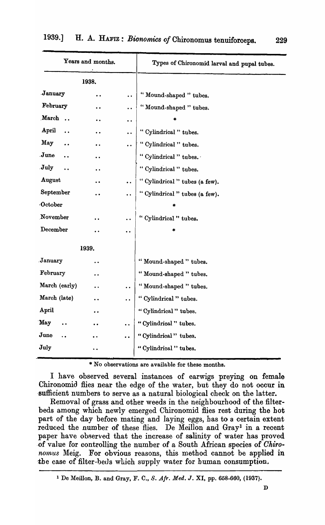| Years and months.             |                      |                         | Types of Chironomid larval and pupal tubes. |
|-------------------------------|----------------------|-------------------------|---------------------------------------------|
| 1938.                         |                      |                         |                                             |
| January                       |                      | $\ddot{\phantom{0}}$    | "Mound-shaped " tubes.                      |
| February                      |                      | $\ddot{\phantom{0}}$    | "Mound-shaped" tubes.                       |
| March<br>$\ddot{\phantom{a}}$ |                      | $\bullet\hspace{0.4mm}$ |                                             |
| April<br>$\ddot{\phantom{a}}$ |                      | $\ddot{\phantom{0}}$    | "Cylindrical " tubes.                       |
| May                           | $\bullet$            | $\ddot{\phantom{0}}$    | "Cylindrical " tubes.                       |
| June                          |                      |                         | " Cylindrical " tubes.                      |
| July                          |                      |                         | "Cylindrical " tubes.                       |
| August                        |                      | $\ddot{\phantom{0}}$    | "Cylindrical " tubes (a few).               |
| September                     |                      | $\ddot{\phantom{0}}$    | "Cylindrical " tubes (a few).               |
| October                       |                      |                         | 宋                                           |
| November                      |                      |                         | " Cylindrical " tubes.                      |
| December                      |                      | $\bullet$               | *                                           |
|                               | 1939.                |                         |                                             |
| January                       | $\ddot{\phantom{0}}$ |                         | "Mound-shaped" tubes.                       |
| February                      | $\bullet\;\bullet$   |                         | "Mound-shaped " tubes.                      |
| March (early)                 |                      | $\bullet\ \bullet$      | "Mound-shaped " tubes.                      |
| March (late)                  |                      | $\bullet$               | "Cylindrical " tubes.                       |
| April                         | $\bullet\; \bullet$  |                         | "Cylindrical" tubes.                        |
| May                           |                      |                         | "Cylindrical" tubes.                        |
| June                          |                      |                         | "Cylindrical" tubes.                        |
| July                          |                      |                         | "Cylindrical" tubes.                        |

\* No observations are available for these months.

I have observed several instances of earwigs preying on female Chironomid flies near the edge of the water, but they do not occur in sufficient numbers to serve as a natural biological check on the latter.

Removal of grass and other weeds in the neighbourhood of the filterbeds among which newly emerged Chironomid flies rest during the hot part of the day before mating and laying eggs, has to a certain extent reduced the number of these flies. De Meillon and Gray<sup>1</sup> in a recent paper have observed that the increase of salinity of water has proved .of value for controlling the number of a South African species of *Okiro*nomus Meig. For obvious reasons, this method cannot be applied in the case of filter-beds which supply water for human consumption.

D

<sup>&</sup>lt;sup>1</sup> De Meillon, B. and Gray, F. C., S. Afr. Med. J. XI, pp. 658-660, (1937).